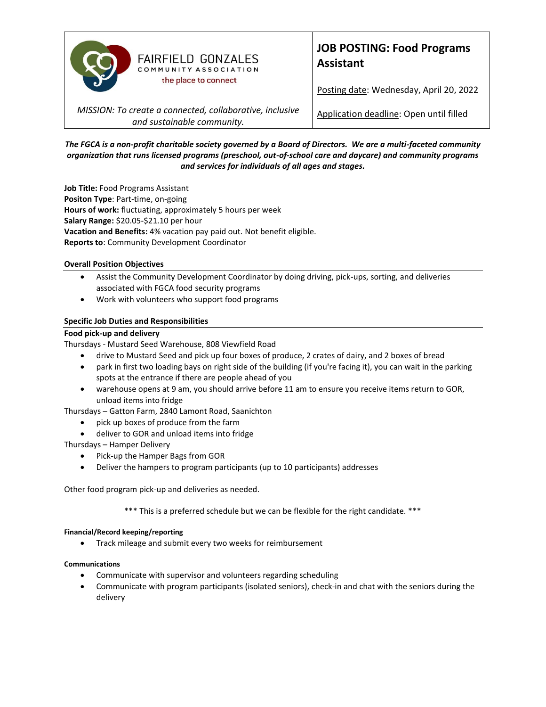

# **JOB POSTING: Food Programs Assistant**

Posting date: Wednesday, April 20, 2022

*MISSION: To create a connected, collaborative, inclusive and sustainable community.*

Application deadline: Open until filled

*The FGCA is a non-profit charitable society governed by a Board of Directors. We are a multi-faceted community organization that runs licensed programs (preschool, out-of-school care and daycare) and community programs and services for individuals of all ages and stages.*

**Job Title:** Food Programs Assistant **Positon Type**: Part-time, on-going **Hours of work:** fluctuating, approximately 5 hours per week **Salary Range:** \$20.05-\$21.10 per hour **Vacation and Benefits:** 4% vacation pay paid out. Not benefit eligible. **Reports to**: Community Development Coordinator

## **Overall Position Objectives**

- Assist the Community Development Coordinator by doing driving, pick-ups, sorting, and deliveries associated with FGCA food security programs
- Work with volunteers who support food programs

## **Specific Job Duties and Responsibilities**

### **Food pick-up and delivery**

Thursdays - Mustard Seed Warehouse, 808 Viewfield Road

- drive to Mustard Seed and pick up four boxes of produce, 2 crates of dairy, and 2 boxes of bread
- park in first two loading bays on right side of the building (if you're facing it), you can wait in the parking spots at the entrance if there are people ahead of you
- warehouse opens at 9 am, you should arrive before 11 am to ensure you receive items return to GOR, unload items into fridge
- Thursdays Gatton Farm, 2840 Lamont Road, Saanichton
	- pick up boxes of produce from the farm
	- deliver to GOR and unload items into fridge

Thursdays – Hamper Delivery

- Pick-up the Hamper Bags from GOR
- Deliver the hampers to program participants (up to 10 participants) addresses

Other food program pick-up and deliveries as needed.

\*\*\* This is a preferred schedule but we can be flexible for the right candidate. \*\*\*

### **Financial/Record keeping/reporting**

• Track mileage and submit every two weeks for reimbursement

### **Communications**

- Communicate with supervisor and volunteers regarding scheduling
- Communicate with program participants (isolated seniors), check-in and chat with the seniors during the delivery